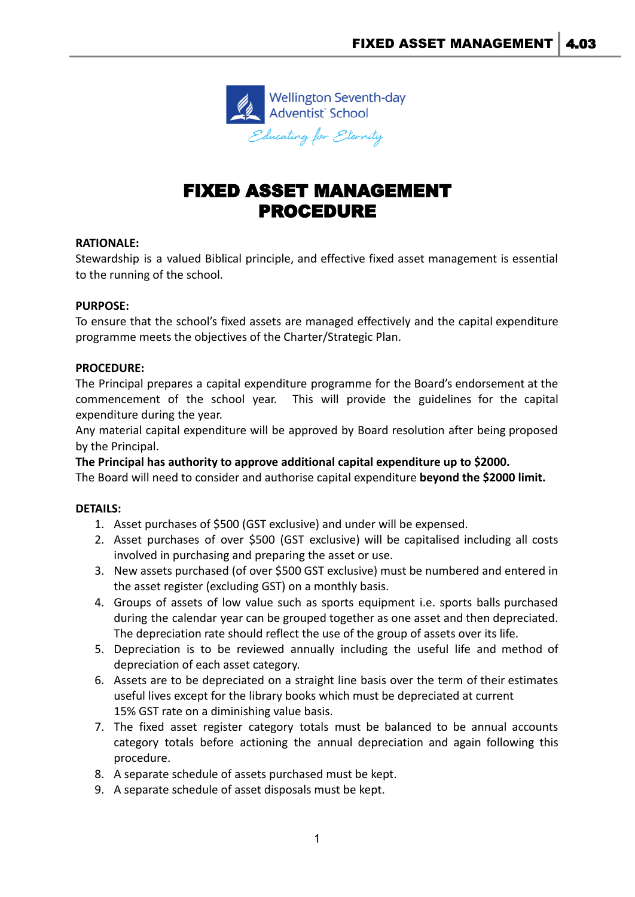

# FIXED ASSET MANAGEMENT PROCEDURE

## **RATIONALE:**

Stewardship is a valued Biblical principle, and effective fixed asset management is essential to the running of the school.

## **PURPOSE:**

To ensure that the school's fixed assets are managed effectively and the capital expenditure programme meets the objectives of the Charter/Strategic Plan.

### **PROCEDURE:**

The Principal prepares a capital expenditure programme for the Board's endorsement at the commencement of the school year. This will provide the guidelines for the capital expenditure during the year.

Any material capital expenditure will be approved by Board resolution after being proposed by the Principal.

**The Principal has authority to approve additional capital expenditure up to \$2000.**

The Board will need to consider and authorise capital expenditure **beyond the \$2000 limit.**

## **DETAILS:**

- 1. Asset purchases of \$500 (GST exclusive) and under will be expensed.
- 2. Asset purchases of over \$500 (GST exclusive) will be capitalised including all costs involved in purchasing and preparing the asset or use.
- 3. New assets purchased (of over \$500 GST exclusive) must be numbered and entered in the asset register (excluding GST) on a monthly basis.
- 4. Groups of assets of low value such as sports equipment i.e. sports balls purchased during the calendar year can be grouped together as one asset and then depreciated. The depreciation rate should reflect the use of the group of assets over its life.
- 5. Depreciation is to be reviewed annually including the useful life and method of depreciation of each asset category.
- 6. Assets are to be depreciated on a straight line basis over the term of their estimates useful lives except for the library books which must be depreciated at current 15% GST rate on a diminishing value basis.
- 7. The fixed asset register category totals must be balanced to be annual accounts category totals before actioning the annual depreciation and again following this procedure.
- 8. A separate schedule of assets purchased must be kept.
- 9. A separate schedule of asset disposals must be kept.